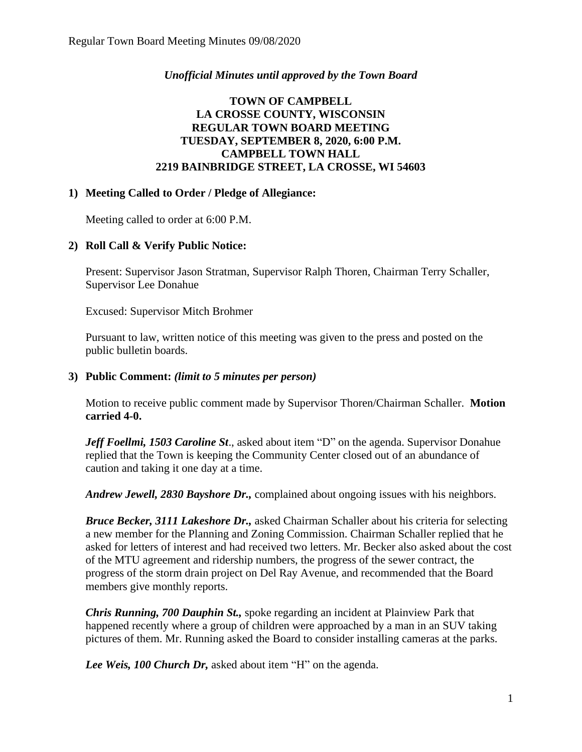## *Unofficial Minutes until approved by the Town Board*

# **TOWN OF CAMPBELL LA CROSSE COUNTY, WISCONSIN REGULAR TOWN BOARD MEETING TUESDAY, SEPTEMBER 8, 2020, 6:00 P.M. CAMPBELL TOWN HALL 2219 BAINBRIDGE STREET, LA CROSSE, WI 54603**

### **1) Meeting Called to Order / Pledge of Allegiance:**

Meeting called to order at 6:00 P.M.

## **2) Roll Call & Verify Public Notice:**

Present: Supervisor Jason Stratman, Supervisor Ralph Thoren, Chairman Terry Schaller, Supervisor Lee Donahue

Excused: Supervisor Mitch Brohmer

Pursuant to law, written notice of this meeting was given to the press and posted on the public bulletin boards.

### **3) Public Comment:** *(limit to 5 minutes per person)*

Motion to receive public comment made by Supervisor Thoren/Chairman Schaller. **Motion carried 4-0.**

*Jeff Foellmi, 1503 Caroline St*., asked about item "D" on the agenda. Supervisor Donahue replied that the Town is keeping the Community Center closed out of an abundance of caution and taking it one day at a time.

*Andrew Jewell, 2830 Bayshore Dr.,* complained about ongoing issues with his neighbors.

*Bruce Becker, 3111 Lakeshore Dr.,* asked Chairman Schaller about his criteria for selecting a new member for the Planning and Zoning Commission. Chairman Schaller replied that he asked for letters of interest and had received two letters. Mr. Becker also asked about the cost of the MTU agreement and ridership numbers, the progress of the sewer contract, the progress of the storm drain project on Del Ray Avenue, and recommended that the Board members give monthly reports.

*Chris Running, 700 Dauphin St.,* spoke regarding an incident at Plainview Park that happened recently where a group of children were approached by a man in an SUV taking pictures of them. Mr. Running asked the Board to consider installing cameras at the parks.

*Lee Weis, 100 Church Dr,* asked about item "H" on the agenda.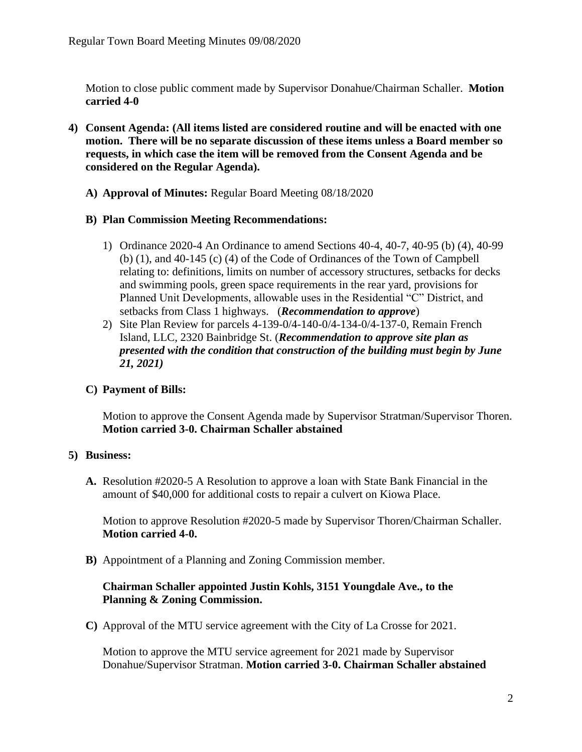Motion to close public comment made by Supervisor Donahue/Chairman Schaller. **Motion carried 4-0**

- **4) Consent Agenda: (All items listed are considered routine and will be enacted with one motion. There will be no separate discussion of these items unless a Board member so requests, in which case the item will be removed from the Consent Agenda and be considered on the Regular Agenda).**
	- **A) Approval of Minutes:** Regular Board Meeting 08/18/2020

# **B) Plan Commission Meeting Recommendations:**

- 1) Ordinance 2020-4 An Ordinance to amend Sections 40-4, 40-7, 40-95 (b) (4), 40-99 (b) (1), and 40-145 (c) (4) of the Code of Ordinances of the Town of Campbell relating to: definitions, limits on number of accessory structures, setbacks for decks and swimming pools, green space requirements in the rear yard, provisions for Planned Unit Developments, allowable uses in the Residential "C" District, and setbacks from Class 1 highways. (*Recommendation to approve*)
- 2) Site Plan Review for parcels 4-139-0/4-140-0/4-134-0/4-137-0, Remain French Island, LLC, 2320 Bainbridge St. (*Recommendation to approve site plan as presented with the condition that construction of the building must begin by June 21, 2021)*

# **C) Payment of Bills:**

Motion to approve the Consent Agenda made by Supervisor Stratman/Supervisor Thoren. **Motion carried 3-0. Chairman Schaller abstained** 

# **5) Business:**

**A.** Resolution #2020-5 A Resolution to approve a loan with State Bank Financial in the amount of \$40,000 for additional costs to repair a culvert on Kiowa Place.

Motion to approve Resolution #2020-5 made by Supervisor Thoren/Chairman Schaller. **Motion carried 4-0.** 

**B)** Appointment of a Planning and Zoning Commission member.

# **Chairman Schaller appointed Justin Kohls, 3151 Youngdale Ave., to the Planning & Zoning Commission.**

**C)** Approval of the MTU service agreement with the City of La Crosse for 2021.

Motion to approve the MTU service agreement for 2021 made by Supervisor Donahue/Supervisor Stratman. **Motion carried 3-0. Chairman Schaller abstained**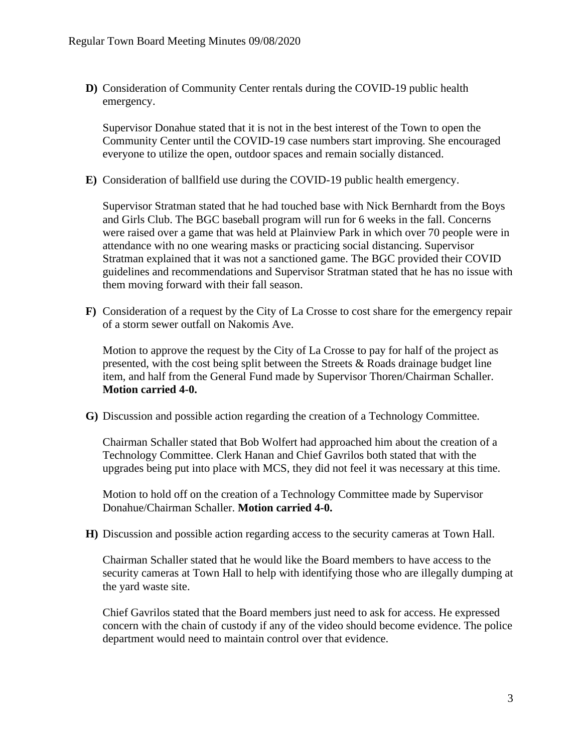**D)** Consideration of Community Center rentals during the COVID-19 public health emergency.

Supervisor Donahue stated that it is not in the best interest of the Town to open the Community Center until the COVID-19 case numbers start improving. She encouraged everyone to utilize the open, outdoor spaces and remain socially distanced.

**E)** Consideration of ballfield use during the COVID-19 public health emergency.

Supervisor Stratman stated that he had touched base with Nick Bernhardt from the Boys and Girls Club. The BGC baseball program will run for 6 weeks in the fall. Concerns were raised over a game that was held at Plainview Park in which over 70 people were in attendance with no one wearing masks or practicing social distancing. Supervisor Stratman explained that it was not a sanctioned game. The BGC provided their COVID guidelines and recommendations and Supervisor Stratman stated that he has no issue with them moving forward with their fall season.

**F)** Consideration of a request by the City of La Crosse to cost share for the emergency repair of a storm sewer outfall on Nakomis Ave.

Motion to approve the request by the City of La Crosse to pay for half of the project as presented, with the cost being split between the Streets & Roads drainage budget line item, and half from the General Fund made by Supervisor Thoren/Chairman Schaller. **Motion carried 4-0.** 

**G)** Discussion and possible action regarding the creation of a Technology Committee.

Chairman Schaller stated that Bob Wolfert had approached him about the creation of a Technology Committee. Clerk Hanan and Chief Gavrilos both stated that with the upgrades being put into place with MCS, they did not feel it was necessary at this time.

Motion to hold off on the creation of a Technology Committee made by Supervisor Donahue/Chairman Schaller. **Motion carried 4-0.**

**H)** Discussion and possible action regarding access to the security cameras at Town Hall.

Chairman Schaller stated that he would like the Board members to have access to the security cameras at Town Hall to help with identifying those who are illegally dumping at the yard waste site.

Chief Gavrilos stated that the Board members just need to ask for access. He expressed concern with the chain of custody if any of the video should become evidence. The police department would need to maintain control over that evidence.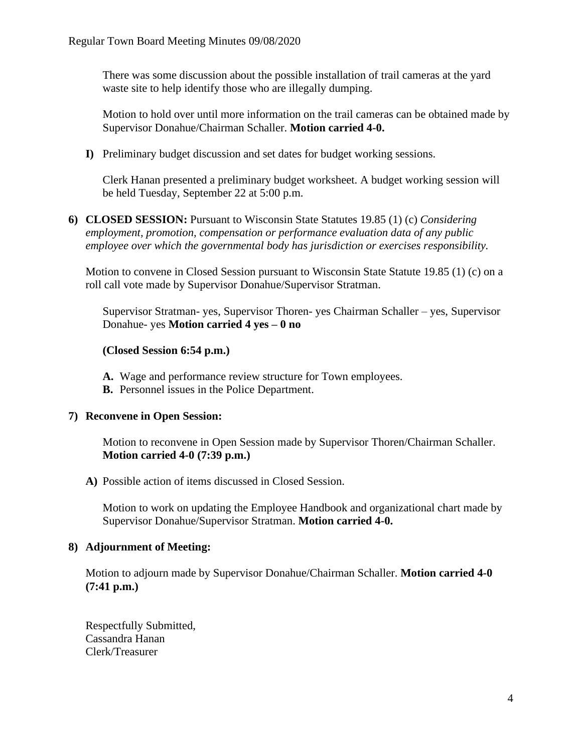There was some discussion about the possible installation of trail cameras at the yard waste site to help identify those who are illegally dumping.

Motion to hold over until more information on the trail cameras can be obtained made by Supervisor Donahue/Chairman Schaller. **Motion carried 4-0.**

**I)** Preliminary budget discussion and set dates for budget working sessions.

Clerk Hanan presented a preliminary budget worksheet. A budget working session will be held Tuesday, September 22 at 5:00 p.m.

**6) CLOSED SESSION:** Pursuant to Wisconsin State Statutes 19.85 (1) (c) *Considering employment, promotion, compensation or performance evaluation data of any public employee over which the governmental body has jurisdiction or exercises responsibility.*

Motion to convene in Closed Session pursuant to Wisconsin State Statute 19.85 (1) (c) on a roll call vote made by Supervisor Donahue/Supervisor Stratman.

Supervisor Stratman- yes, Supervisor Thoren- yes Chairman Schaller – yes, Supervisor Donahue- yes **Motion carried 4 yes – 0 no** 

## **(Closed Session 6:54 p.m.)**

- **A.** Wage and performance review structure for Town employees.
- **B.** Personnel issues in the Police Department.

# **7) Reconvene in Open Session:**

Motion to reconvene in Open Session made by Supervisor Thoren/Chairman Schaller. **Motion carried 4-0 (7:39 p.m.)** 

### **A)** Possible action of items discussed in Closed Session.

Motion to work on updating the Employee Handbook and organizational chart made by Supervisor Donahue/Supervisor Stratman. **Motion carried 4-0.**

### **8) Adjournment of Meeting:**

Motion to adjourn made by Supervisor Donahue/Chairman Schaller. **Motion carried 4-0 (7:41 p.m.)**

Respectfully Submitted, Cassandra Hanan Clerk/Treasurer